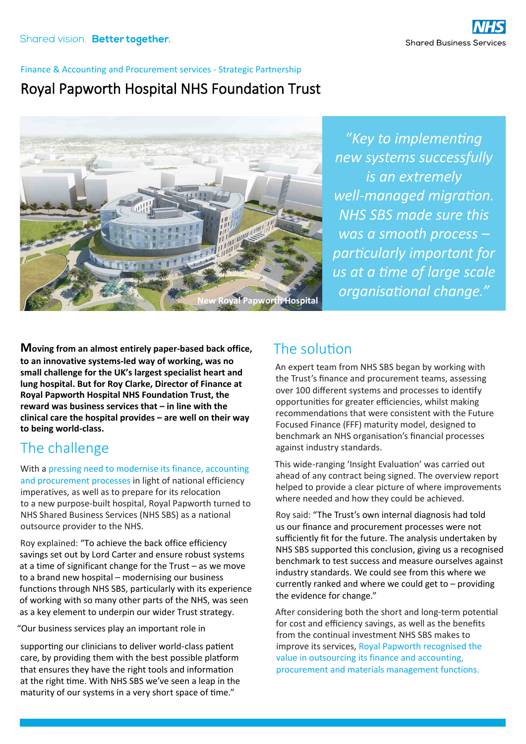#### Finance & Accounting and Procurement services - Strategic Partnership

## Royal Papworth Hospital NHS Foundation Trust



"*Key to implementing new systems successfully is an extremely well-managed migration. NHS SBS made sure this was a smooth process – particularly important for us at a time of large scale*  **Papworth Hospital Organisational change."** 

**Moving from an almost entirely paper-based back office, to an innovative systems-led way of working, was no small challenge for the UK's largest specialist heart and lung hospital. But for Roy Clarke, Director of Finance at Royal Papworth Hospital NHS Foundation Trust, the reward was business services that – in line with the clinical care the hospital provides – are well on their way to being world-class.**

# The challenge

With a pressing need to modernise its finance, accounting and procurement processes in light of national efficiency imperatives, as well as to prepare for its relocation to a new purpose-built hospital, Royal Papworth turned to NHS Shared Business Services (NHS SBS) as a national outsource provider to the NHS.

Roy explained: "To achieve the back office efficiency savings set out by Lord Carter and ensure robust systems at a time of significant change for the Trust – as we move to a brand new hospital – modernising our business functions through NHS SBS, particularly with its experience of working with so many other parts of the NHS, was seen as a key element to underpin our wider Trust strategy.

"Our business services play an important role in

supporting our clinicians to deliver world-class patient care, by providing them with the best possible platform that ensures they have the right tools and information at the right time. With NHS SBS we've seen a leap in the maturity of our systems in a very short space of time."

## The solution

An expert team from NHS SBS began by working with the Trust's finance and procurement teams, assessing over 100 different systems and processes to identify opportunities for greater efficiencies, whilst making recommendations that were consistent with the Future Focused Finance (FFF) maturity model, designed to benchmark an NHS organisation's financial processes against industry standards.

This wide-ranging 'Insight Evaluation' was carried out ahead of any contract being signed. The overview report helped to provide a clear picture of where improvements where needed and how they could be achieved.

Roy said: "The Trust's own internal diagnosis had told us our finance and procurement processes were not sufficiently fit for the future. The analysis undertaken by NHS SBS supported this conclusion, giving us a recognised benchmark to test success and measure ourselves against industry standards. We could see from this where we currently ranked and where we could get to – providing the evidence for change."

After considering both the short and long-term potential for cost and efficiency savings, as well as the benefits from the continual investment NHS SBS makes to improve its services, Royal Papworth recognised the value in outsourcing its finance and accounting, procurement and materials management functions.